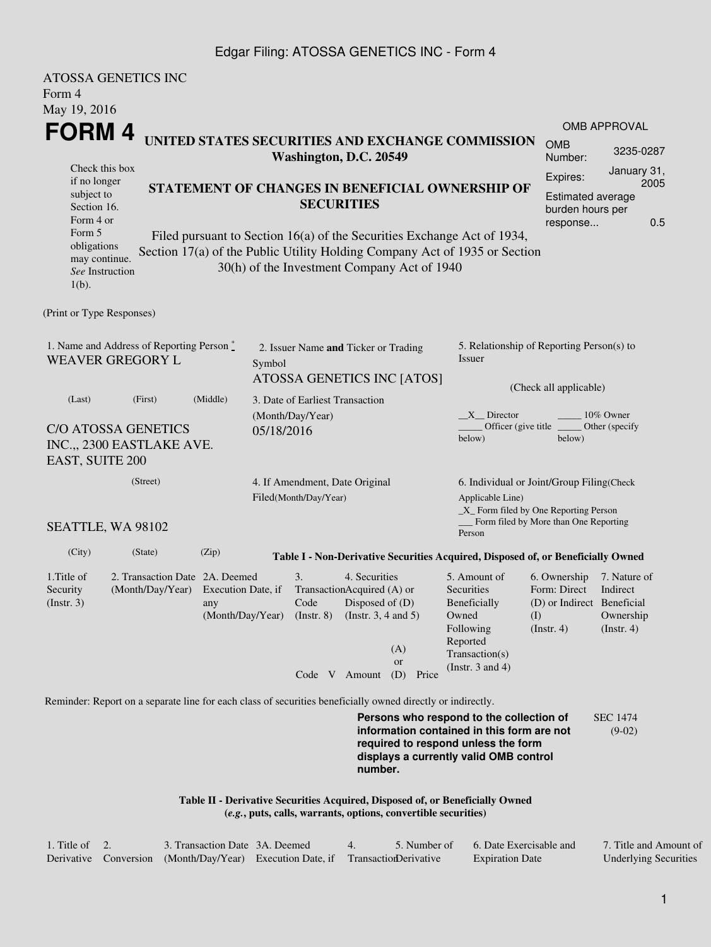## Edgar Filing: ATOSSA GENETICS INC - Form 4

| <b>ATOSSA GENETICS INC</b><br>Form 4                                                                           |                                                                       |                                      |            |                                                               |                                                                  |                                                                |                                                                                                                                                                         |                                                                                       |                                                      |  |  |
|----------------------------------------------------------------------------------------------------------------|-----------------------------------------------------------------------|--------------------------------------|------------|---------------------------------------------------------------|------------------------------------------------------------------|----------------------------------------------------------------|-------------------------------------------------------------------------------------------------------------------------------------------------------------------------|---------------------------------------------------------------------------------------|------------------------------------------------------|--|--|
| May 19, 2016                                                                                                   |                                                                       |                                      |            |                                                               |                                                                  |                                                                |                                                                                                                                                                         |                                                                                       |                                                      |  |  |
| <b>FORM4</b>                                                                                                   |                                                                       |                                      |            |                                                               |                                                                  |                                                                |                                                                                                                                                                         |                                                                                       | <b>OMB APPROVAL</b>                                  |  |  |
|                                                                                                                |                                                                       |                                      |            | Washington, D.C. 20549                                        |                                                                  |                                                                | UNITED STATES SECURITIES AND EXCHANGE COMMISSION                                                                                                                        | <b>OMB</b><br>Number:                                                                 | 3235-0287                                            |  |  |
| Check this box<br>if no longer                                                                                 |                                                                       |                                      |            |                                                               |                                                                  |                                                                |                                                                                                                                                                         | Expires:                                                                              | January 31,<br>2005                                  |  |  |
| STATEMENT OF CHANGES IN BENEFICIAL OWNERSHIP OF<br>subject to<br><b>SECURITIES</b><br>Section 16.<br>Form 4 or |                                                                       |                                      |            |                                                               |                                                                  |                                                                |                                                                                                                                                                         | <b>Estimated average</b><br>burden hours per<br>response                              | 0.5                                                  |  |  |
| Form 5<br>obligations<br>may continue.<br>See Instruction<br>$1(b)$ .                                          |                                                                       |                                      |            |                                                               |                                                                  | 30(h) of the Investment Company Act of 1940                    | Filed pursuant to Section 16(a) of the Securities Exchange Act of 1934,<br>Section 17(a) of the Public Utility Holding Company Act of 1935 or Section                   |                                                                                       |                                                      |  |  |
| (Print or Type Responses)                                                                                      |                                                                       |                                      |            |                                                               |                                                                  |                                                                |                                                                                                                                                                         |                                                                                       |                                                      |  |  |
| 1. Name and Address of Reporting Person $\stackrel{*}{\mathbb{L}}$<br><b>WEAVER GREGORY L</b>                  | Symbol                                                                | 2. Issuer Name and Ticker or Trading |            | ATOSSA GENETICS INC [ATOS]                                    | 5. Relationship of Reporting Person(s) to<br>Issuer              |                                                                |                                                                                                                                                                         |                                                                                       |                                                      |  |  |
| (Last)                                                                                                         | (First)                                                               | (Middle)                             |            | 3. Date of Earliest Transaction                               |                                                                  |                                                                | (Check all applicable)                                                                                                                                                  |                                                                                       |                                                      |  |  |
|                                                                                                                |                                                                       |                                      |            | (Month/Day/Year)                                              |                                                                  |                                                                | $X$ Director<br>10% Owner                                                                                                                                               |                                                                                       |                                                      |  |  |
| C/O ATOSSA GENETICS<br>INC.,, 2300 EASTLAKE AVE.<br>EAST, SUITE 200                                            |                                                                       |                                      | 05/18/2016 |                                                               |                                                                  |                                                                | Officer (give title _<br>below)                                                                                                                                         | below)                                                                                | Other (specify                                       |  |  |
| (Street)                                                                                                       |                                                                       |                                      |            | 4. If Amendment, Date Original                                |                                                                  |                                                                | 6. Individual or Joint/Group Filing(Check                                                                                                                               |                                                                                       |                                                      |  |  |
| SEATTLE, WA 98102                                                                                              |                                                                       |                                      |            | Filed(Month/Day/Year)                                         |                                                                  |                                                                | Applicable Line)<br>_X_ Form filed by One Reporting Person<br>Form filed by More than One Reporting                                                                     |                                                                                       |                                                      |  |  |
| (City)                                                                                                         | (State)                                                               | (Zip)                                |            |                                                               |                                                                  |                                                                | Person                                                                                                                                                                  |                                                                                       |                                                      |  |  |
| 1. Title of                                                                                                    |                                                                       |                                      |            | 3.                                                            | 4. Securities                                                    |                                                                | Table I - Non-Derivative Securities Acquired, Disposed of, or Beneficially Owned                                                                                        |                                                                                       |                                                      |  |  |
| Security<br>$($ Instr. 3 $)$                                                                                   | 2. Transaction Date 2A. Deemed<br>(Month/Day/Year) Execution Date, if | any                                  |            | Code<br>$(Month/Day/Year)$ $(Instr. 8)$ $(Instr. 3, 4 and 5)$ | TransactionAcquired (A) or<br>Disposed of $(D)$<br>Code V Amount | (A)<br><b>or</b><br>(D) Price                                  | 5. Amount of<br>Securities<br><b>Beneficially</b><br>Owned<br>Following<br>Reported<br>Transaction(s)<br>(Instr. $3$ and $4$ )                                          | 6. Ownership<br>Form: Direct<br>(D) or Indirect Beneficial<br>(I)<br>$($ Instr. 4 $)$ | 7. Nature of<br>Indirect<br>Ownership<br>(Insert. 4) |  |  |
|                                                                                                                |                                                                       |                                      |            |                                                               |                                                                  |                                                                |                                                                                                                                                                         |                                                                                       |                                                      |  |  |
| Reminder: Report on a separate line for each class of securities beneficially owned directly or indirectly.    |                                                                       |                                      |            |                                                               | number.                                                          |                                                                | Persons who respond to the collection of<br>information contained in this form are not<br>required to respond unless the form<br>displays a currently valid OMB control |                                                                                       | <b>SEC 1474</b><br>$(9-02)$                          |  |  |
|                                                                                                                |                                                                       |                                      |            |                                                               |                                                                  | (e.g., puts, calls, warrants, options, convertible securities) | Table II - Derivative Securities Acquired, Disposed of, or Beneficially Owned                                                                                           |                                                                                       |                                                      |  |  |

| $\pm$ . Title of 2. | 3. Transaction Date 3A. Deemed                                                   |  | 5. Number of | 6. Date Exercisable and | 7. Title and Amount of       |
|---------------------|----------------------------------------------------------------------------------|--|--------------|-------------------------|------------------------------|
|                     | Derivative Conversion (Month/Day/Year) Execution Date, if Transaction Derivative |  |              | <b>Expiration Date</b>  | <b>Underlying Securities</b> |